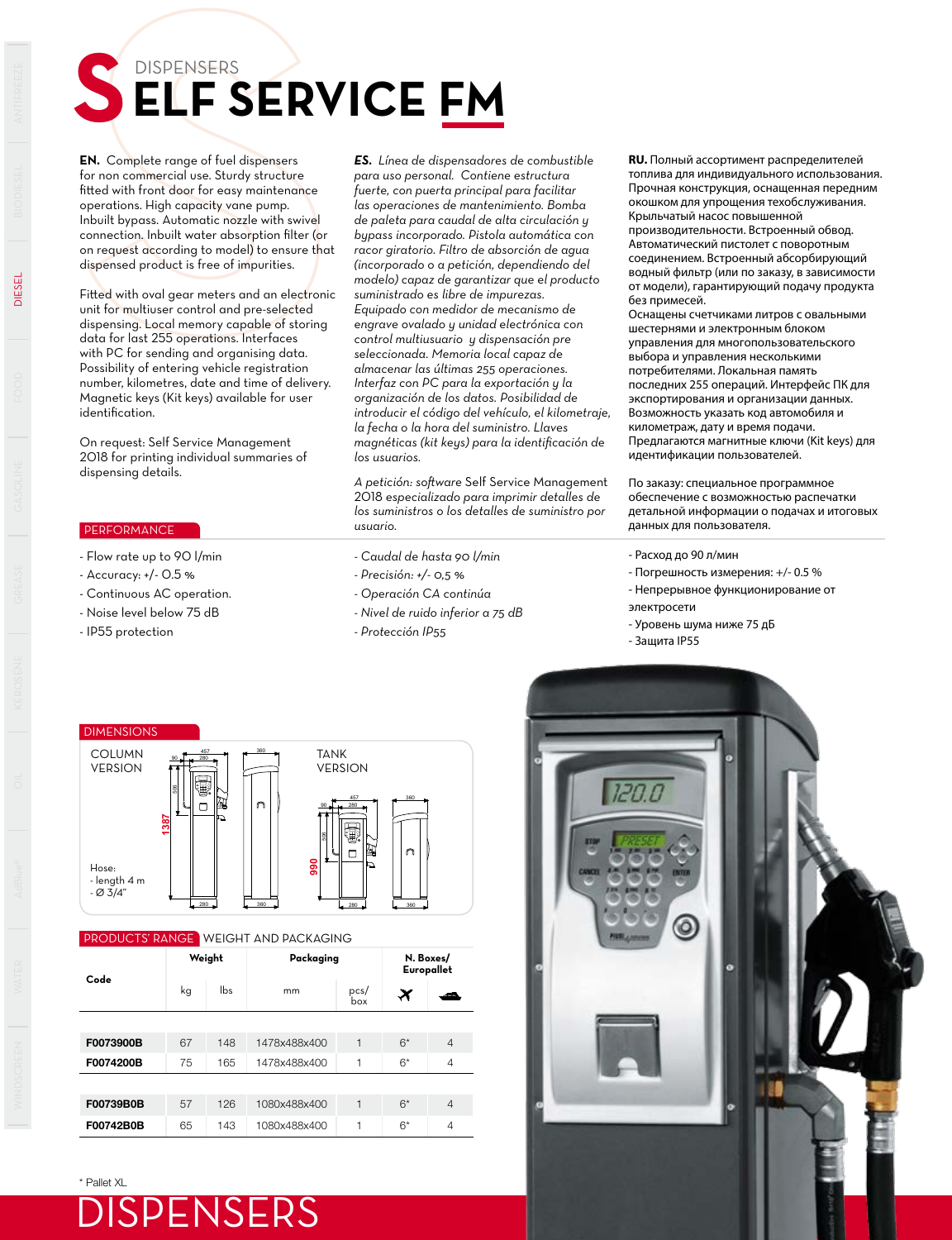## DISPENSERS **SERVICE FM**

**EN.** Complete range of fuel dispensers for non commercial use. Sturdy structure fitted with front door for easy maintenance operations. High capacity vane pump. Inbuilt bypass. Automatic nozzle with swivel connection. Inbuilt water absorption filter (or on request according to model) to ensure that dispensed product is free of impurities.

Fitted with oval gear meters and an electronic unit for multiuser control and pre-selected dispensing. Local memory capable of storing data for last 255 operations. Interfaces with PC for sending and organising data. Possibility of entering vehicle registration number, kilometres, date and time of delivery. Magnetic keys (Kit keys) available for user identification.

On request: Self Service Management 2018 for printing individual summaries of dispensing details.

## **PERFORMANCE**

- Flow rate up to 90 l/min
- Accuracy: +/- 0.5 %
- Continuous AC operation.
- Noise level below 75 dB
- IP55 protection

*ES. Línea de dispensadores de combustible para uso personal. Contiene estructura fuerte, con puerta principal para facilitar las operaciones de mantenimiento. Bomba de paleta para caudal de alta circulación y bypass incorporado. Pistola automática con racor giratorio. Filtro de absorción de agua (incorporado o a petición, dependiendo del modelo) capaz de garantizar que el producto suministrado es libre de impurezas. Equipado con medidor de mecanismo de engrave ovalado y unidad electrónica con control multiusuario y dispensación pre seleccionada. Memoria local capaz de almacenar las últimas 255 operaciones. Interfaz con PC para la exportación y la organización de los datos. Posibilidad de introducir el código del vehículo, el kilometraje, la fecha o la hora del suministro. Llaves magnéticas (kit keys) para la identificación de los usuarios.* 

*A petición: software* Self Service Management 2018 *especializado para imprimir detalles de los suministros o los detalles de suministro por usuario.* 

- *Caudal de hasta 90 l/min*
- *Precisión: +/- 0,5 %*
- *Operación CA continúa*
- *Nivel de ruido inferior a 75 dB*
- *Protección IP55*

**RU.** Полный ассортимент распределителей топлива для индивидуального использования. Прочная конструкция, оснащенная передним окошком для упрощения техобслуживания. Крыльчатый насос повышенной производительности. Встроенный обвод. Автоматический пистолет с поворотным соединением. Встроенный абсорбирующий

водный фильтр (или по заказу, в зависимости от модели), гарантирующий подачу продукта без примесей.

Оснащены счетчиками литров с овальными шестернями и электронным блоком управления для многопользовательского выбора и управления несколькими потребителями. Локальная память последних 255 операций. Интерфейс ПК для экспортирования и организации данных. Возможность указать код автомобиля и километраж, дату и время подачи. Предлагаются магнитные ключи (Kit keys) для идентификации пользователей.

По заказу: специальное программное обеспечение с возможностью распечатки детальной информации о подачах и итоговых данных для пользователя.

- Расход до 90 л/мин
- Погрешность измерения: +/- 0.5 %
- Непрерывное функционирование от
- электросети
- Уровень шума ниже 75 дБ
- Защита IP55

DIMENSIONS COLUMN **TANK** 457 a 360 90 280 VERSION VERSION 506 457 **360**  $\Box$ 90 280 **1387** À  $\Box$ **990** Hose: - length 4 m  $-$  Ø 3/4" 280 360 280 360

## PRODUCTS' RANGE WEIGHT AND PACKAGING

| Code      |    | Weight | Packaging    | N. Boxes/<br>Europallet |                  |                |  |
|-----------|----|--------|--------------|-------------------------|------------------|----------------|--|
|           | kg | lbs.   | mm           | pcs/<br>box             | $\bm{\varkappa}$ | سم             |  |
|           |    |        |              |                         |                  |                |  |
| F0073900B | 67 | 148    | 1478x488x400 | 1                       | $6*$             | $\overline{4}$ |  |
| F0074200B | 75 | 165    | 1478x488x400 | 1                       | $6*$             | $\overline{4}$ |  |
|           |    |        |              |                         |                  |                |  |
| F00739B0B | 57 | 126    | 1080x488x400 | 1                       | $6*$             | $\overline{4}$ |  |
| F00742B0B | 65 | 143    | 1080x488x400 | ۰                       | $6*$             | 4              |  |

\* Pallet XL





DIESEL